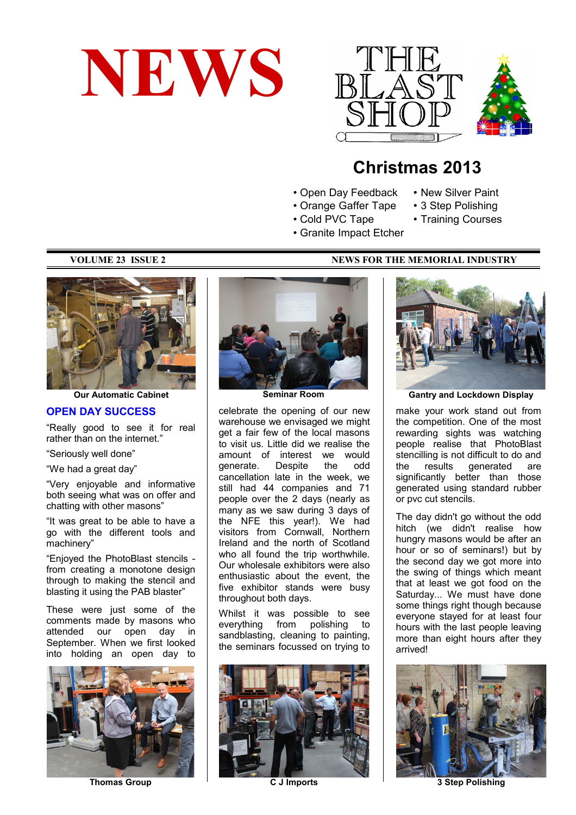





# **Christmas 2013**

- Open Day Feedback
- Orange Gaffer Tape • 3 Step Polishing
- Cold PVC Tape
- Training Courses

• New Silver Paint

- 
- Granite Impact Etcher



**Our Automatic Cabinet**

#### **OPEN DAY SUCCESS**

"Really good to see it for real rather than on the internet."

"Seriously well done"

"We had a great day"

"Very enjoyable and informative both seeing what was on offer and chatting with other masons"

"It was great to be able to have a go with the different tools and machinery"

"Enjoyed the PhotoBlast stencils from creating a monotone design through to making the stencil and blasting it using the PAB blaster"

These were just some of the comments made by masons who attended our open day in September. When we first looked into holding an open day to



**Thomas Group**



**Seminar Room**

celebrate the opening of our new warehouse we envisaged we might get a fair few of the local masons to visit us. Little did we realise the amount of interest we would generate. Despite the odd cancellation late in the week, we still had 44 companies and 71 people over the 2 days (nearly as many as we saw during 3 days of the NFE this year!). We had visitors from Cornwall, Northern Ireland and the north of Scotland who all found the trip worthwhile. Our wholesale exhibitors were also enthusiastic about the event, the five exhibitor stands were busy throughout both days.

Whilst it was possible to see everything from polishing to sandblasting, cleaning to painting, the seminars focussed on trying to



**C J Imports**



**Gantry and Lockdown Display**

make your work stand out from the competition. One of the most rewarding sights was watching people realise that PhotoBlast stencilling is not difficult to do and the results generated are significantly better than those generated using standard rubber or pvc cut stencils.

The day didn't go without the odd hitch (we didn't realise how hungry masons would be after an hour or so of seminars!) but by the second day we got more into the swing of things which meant that at least we got food on the Saturday... We must have done some things right though because everyone stayed for at least four hours with the last people leaving more than eight hours after they arrived!



**3 Step Polishing**

#### **VOLUME 23 ISSUE 2 NEWS FOR THE MEMORIAL INDUSTRY**